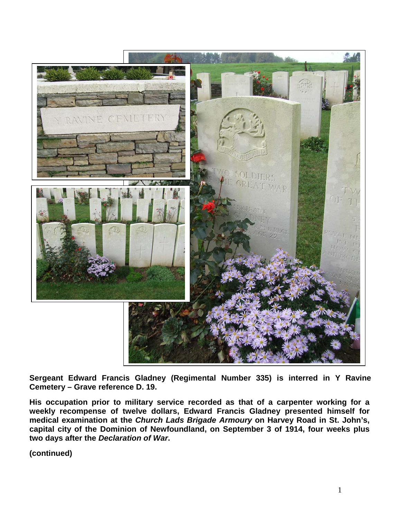

**Sergeant Edward Francis Gladney (Regimental Number 335) is interred in Y Ravine Cemetery – Grave reference D. 19.**

**His occupation prior to military service recorded as that of a carpenter working for a weekly recompense of twelve dollars, Edward Francis Gladney presented himself for medical examination at the** *Church Lads Brigade Armoury* **on Harvey Road in St. John's, capital city of the Dominion of Newfoundland, on September 3 of 1914, four weeks plus two days after the** *Declaration of War***.**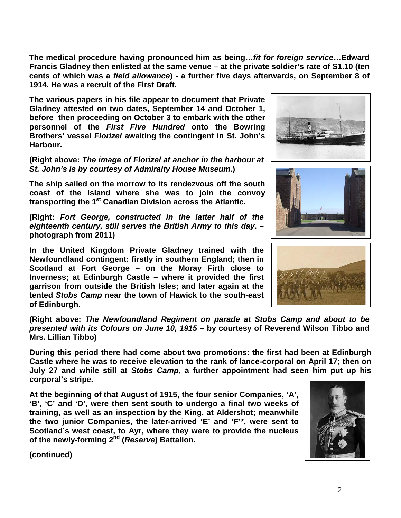**The medical procedure having pronounced him as being…***fit for foreign service***…Edward Francis Gladney then enlisted at the same venue – at the private soldier's rate of S1.10 (ten cents of which was a** *field allowance***) - a further five days afterwards, on September 8 of 1914. He was a recruit of the First Draft.**

**The various papers in his file appear to document that Private Gladney attested on two dates, September 14 and October 1, before then proceeding on October 3 to embark with the other personnel of the** *First Five Hundred* **onto the Bowring Brothers' vessel** *Florizel* **awaiting the contingent in St. John's Harbour.** 

**(Right above:** *The image of Florizel at anchor in the harbour at St. John's is by courtesy of Admiralty House Museum***.)**

**The ship sailed on the morrow to its rendezvous off the south coast of the Island where she was to join the convoy transporting the 1st Canadian Division across the Atlantic.**

**(Right:** *Fort George, constructed in the latter half of the eighteenth century, still serves the British Army to this day***. – photograph from 2011)**

**In the United Kingdom Private Gladney trained with the Newfoundland contingent: firstly in southern England; then in Scotland at Fort George – on the Moray Firth close to Inverness; at Edinburgh Castle – where it provided the first garrison from outside the British Isles; and later again at the tented** *Stobs Camp* **near the town of Hawick to the south-east of Edinburgh.**

**(Right above:** *The Newfoundland Regiment on parade at Stobs Camp and about to be presented with its Colours on June 10, 1915* **– by courtesy of Reverend Wilson Tibbo and Mrs. Lillian Tibbo)**

**During this period there had come about two promotions: the first had been at Edinburgh Castle where he was to receive elevation to the rank of lance-corporal on April 17; then on July 27 and while still at** *Stobs Camp***, a further appointment had seen him put up his corporal's stripe.**

**At the beginning of that August of 1915, the four senior Companies, 'A', 'B', 'C' and 'D', were then sent south to undergo a final two weeks of training, as well as an inspection by the King, at Aldershot; meanwhile the two junior Companies, the later-arrived 'E' and 'F'\*, were sent to Scotland's west coast, to Ayr, where they were to provide the nucleus of the newly-forming 2nd (***Reserve***) Battalion.**







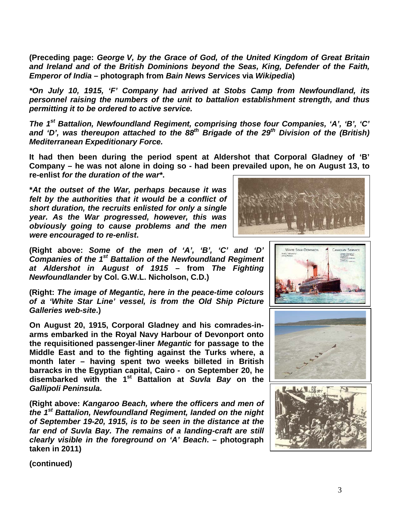**(Preceding page:** *George V, by the Grace of God, of the United Kingdom of Great Britain and Ireland and of the British Dominions beyond the Seas, King, Defender of the Faith, Emperor of India* **– photograph from** *Bain News Services* **via** *Wikipedia***)**

*\*On July 10, 1915, 'F' Company had arrived at Stobs Camp from Newfoundland, its personnel raising the numbers of the unit to battalion establishment strength, and thus permitting it to be ordered to active service.*

*The 1st Battalion, Newfoundland Regiment, comprising those four Companies, 'A', 'B', 'C'*  and 'D', was thereupon attached to the 88<sup>th</sup> Brigade of the 29<sup>th</sup> Division of the (British) *Mediterranean Expeditionary Force.*

**It had then been during the period spent at Aldershot that Corporal Gladney of 'B' Company – he was not alone in doing so - had been prevailed upon, he on August 13, to re-enlist** *for the duration of the war\****.** 

**\****At the outset of the War, perhaps because it was felt by the authorities that it would be a conflict of short duration, the recruits enlisted for only a single year. As the War progressed, however, this was obviously going to cause problems and the men were encouraged to re-enlist***.**



**(Right above:** *Some of the men of 'A', 'B', 'C' and 'D' Companies of the 1st Battalion of the Newfoundland Regiment at Aldershot in August of 1915* **– from** *The Fighting Newfoundlander* **by Col. G.W.L. Nicholson, C.D.)**

**(Right:** *The image of Megantic, here in the peace-time colours of a 'White Star Line' vessel, is from the Old Ship Picture Galleries web-site***.)**

**On August 20, 1915, Corporal Gladney and his comrades-inarms embarked in the Royal Navy Harbour of Devonport onto the requisitioned passenger-liner** *Megantic* **for passage to the Middle East and to the fighting against the Turks where, a month later – having spent two weeks billeted in British barracks in the Egyptian capital, Cairo - on September 20, he disembarked with the 1st Battalion at** *Suvla Bay* **on the**  *Gallipoli Peninsula***.**

**(Right above:** *Kangaroo Beach, where the officers and men of the 1st Battalion, Newfoundland Regiment, landed on the night of September 19-20, 1915, is to be seen in the distance at the far end of Suvla Bay. The remains of a landing-craft are still clearly visible in the foreground on 'A' Beach***. – photograph taken in 2011)**





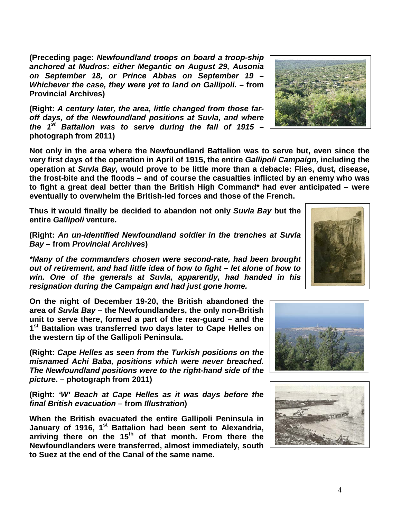**(Preceding page:** *Newfoundland troops on board a troop-ship anchored at Mudros: either Megantic on August 29, Ausonia on September 18, or Prince Abbas on September 19 – Whichever the case, they were yet to land on Gallipoli***. – from Provincial Archives)**

**(Right:** *A century later, the area, little changed from those faroff days, of the Newfoundland positions at Suvla, and where the 1st Battalion was to serve during the fall of 1915* **– photograph from 2011)**

**Not only in the area where the Newfoundland Battalion was to serve but, even since the very first days of the operation in April of 1915, the entire** *Gallipoli Campaign,* **including the operation at** *Suvla Bay,* **would prove to be little more than a debacle: Flies, dust, disease, the frost-bite and the floods – and of course the casualties inflicted by an enemy who was to fight a great deal better than the British High Command\* had ever anticipated – were eventually to overwhelm the British-led forces and those of the French.** 

**Thus it would finally be decided to abandon not only** *Suvla Bay* **but the entire** *Gallipoli* **venture.**

**(Right:** *An un-identified Newfoundland soldier in the trenches at Suvla Bay –* **from** *Provincial Archives***)**

*\*Many of the commanders chosen were second-rate, had been brought out of retirement, and had little idea of how to fight – let alone of how to win. One of the generals at Suvla, apparently, had handed in his resignation during the Campaign and had just gone home.* 

**On the night of December 19-20, the British abandoned the area of** *Suvla Bay* **– the Newfoundlanders, the only non-British unit to serve there, formed a part of the rear-guard – and the 1st Battalion was transferred two days later to Cape Helles on the western tip of the Gallipoli Peninsula.**

**(Right:** *Cape Helles as seen from the Turkish positions on the misnamed Achi Baba, positions which were never breached. The Newfoundland positions were to the right-hand side of the picture***. – photograph from 2011)**

**(Right:** *'W' Beach at Cape Helles as it was days before the final British evacuation* **– from** *Illustration***)**

**When the British evacuated the entire Gallipoli Peninsula in January of 1916, 1st Battalion had been sent to Alexandria,**  arriving there on the 15<sup>th</sup> of that month. From there the **Newfoundlanders were transferred, almost immediately, south to Suez at the end of the Canal of the same name.** 

4







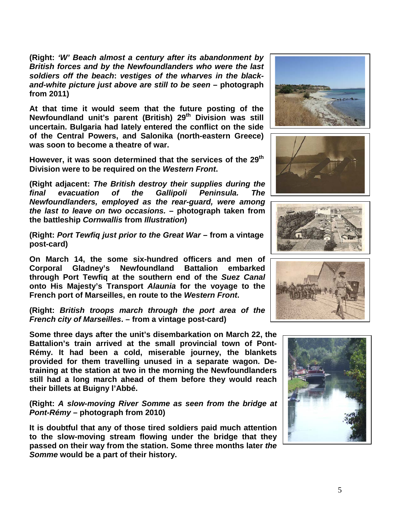**(Right:** *'W' Beach almost a century after its abandonment by British forces and by the Newfoundlanders who were the last soldiers off the beach***:** *vestiges of the wharves in the blackand-white picture just above are still to be seen* **– photograph from 2011)**

**At that time it would seem that the future posting of the Newfoundland unit's parent (British) 29th Division was still uncertain. Bulgaria had lately entered the conflict on the side of the Central Powers, and Salonika (north-eastern Greece) was soon to become a theatre of war.**

However, it was soon determined that the services of the 29<sup>th</sup> **Division were to be required on the** *Western Front***.**

**(Right adjacent:** *The British destroy their supplies during the final evacuation of the Gallipoli Peninsula. The Newfoundlanders, employed as the rear-guard, were among the last to leave on two occasions.* **– photograph taken from the battleship** *Cornwallis* **from** *Illustration***)**

**(Right:** *Port Tewfiq just prior to the Great War* **– from a vintage post-card)**

**On March 14, the some six-hundred officers and men of Corporal Gladney's Newfoundland Battalion embarked through Port Tewfiq at the southern end of the** *Suez Canal* **onto His Majesty's Transport** *Alaunia* **for the voyage to the French port of Marseilles, en route to the** *Western Front***.** 

**(Right:** *British troops march through the port area of the French city of Marseilles***. – from a vintage post-card)**

**Some three days after the unit's disembarkation on March 22, the Battalion's train arrived at the small provincial town of Pont-Rémy. It had been a cold, miserable journey, the blankets provided for them travelling unused in a separate wagon. Detraining at the station at two in the morning the Newfoundlanders still had a long march ahead of them before they would reach their billets at Buigny l'Abbé.**

**(Right:** *A slow-moving River Somme as seen from the bridge at Pont-Rémy* **– photograph from 2010)**

**It is doubtful that any of those tired soldiers paid much attention to the slow-moving stream flowing under the bridge that they passed on their way from the station. Some three months later** *the Somme* **would be a part of their history.**









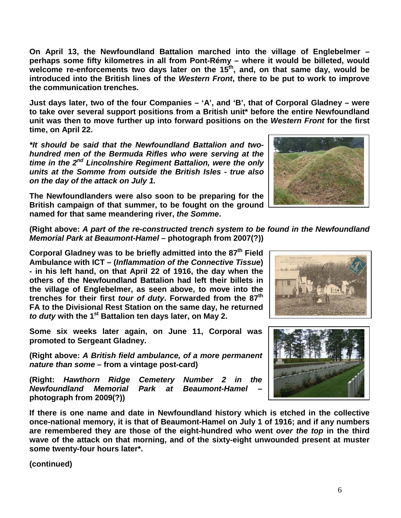6

**On April 13, the Newfoundland Battalion marched into the village of Englebelmer – perhaps some fifty kilometres in all from Pont-Rémy – where it would be billeted, would**  welcome re-enforcements two days later on the 15<sup>th</sup>, and, on that same day, would be **introduced into the British lines of the** *Western Front***, there to be put to work to improve the communication trenches.** 

**Just days later, two of the four Companies – 'A', and 'B', that of Corporal Gladney – were to take over several support positions from a British unit\* before the entire Newfoundland unit was then to move further up into forward positions on the** *Western Front* **for the first time, on April 22.**

*\*It should be said that the Newfoundland Battalion and twohundred men of the Bermuda Rifles who were serving at the time in the 2nd Lincolnshire Regiment Battalion, were the only units at the Somme from outside the British Isles - true also on the day of the attack on July 1.*

**The Newfoundlanders were also soon to be preparing for the British campaign of that summer, to be fought on the ground named for that same meandering river,** *the Somme***.**

**(Right above:** *A part of the re-constructed trench system to be found in the Newfoundland Memorial Park at Beaumont-Hamel –* **photograph from 2007(?))**

**Corporal Gladney was to be briefly admitted into the 87th Field Ambulance with ICT – (***Inflammation of the Connective Tissue***) - in his left hand, on that April 22 of 1916, the day when the others of the Newfoundland Battalion had left their billets in the village of Englebelmer, as seen above, to move into the trenches for their first** *tour of duty***. Forwarded from the 87th FA to the Divisional Rest Station on the same day, he returned**  *to duty* **with the 1st Battalion ten days later, on May 2.** 

**Some six weeks later again, on June 11, Corporal was promoted to Sergeant Gladney.**

**(Right above:** *A British field ambulance, of a more permanent nature than some* **– from a vintage post-card)**

**(Right:** *Hawthorn Ridge Cemetery Number 2 in the Newfoundland Memorial Park at Beaumont-Hamel* **– photograph from 2009(?))**

**If there is one name and date in Newfoundland history which is etched in the collective once-national memory, it is that of Beaumont-Hamel on July 1 of 1916; and if any numbers are remembered they are those of the eight-hundred who went** *over the top* **in the third wave of the attack on that morning, and of the sixty-eight unwounded present at muster some twenty-four hours later\*.**





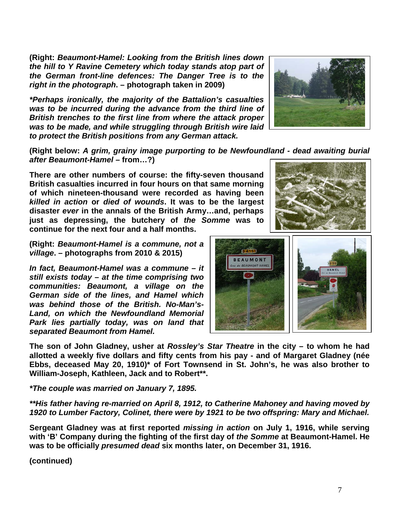**(Right:** *Beaumont-Hamel: Looking from the British lines down the hill to Y Ravine Cemetery which today stands atop part of the German front-line defences: The Danger Tree is to the right in the photograph***. – photograph taken in 2009)**

*\*Perhaps ironically, the majority of the Battalion's casualties was to be incurred during the advance from the third line of British trenches to the first line from where the attack proper was to be made, and while struggling through British wire laid to protect the British positions from any German attack.*

**(Right below:** *A grim, grainy image purporting to be Newfoundland - dead awaiting burial after Beaumont-Hamel –* **from…?)**

**There are other numbers of course: the fifty-seven thousand British casualties incurred in four hours on that same morning of which nineteen-thousand were recorded as having been**  *killed in action* **or** *died of wounds***. It was to be the largest disaster** *ever* **in the annals of the British Army…and, perhaps just as depressing, the butchery of** *the Somme* **was to continue for the next four and a half months.**

**(Right:** *Beaumont-Hamel is a commune, not a village***. – photographs from 2010 & 2015)**

*In fact, Beaumont-Hamel was a commune – it still exists today – at the time comprising two communities: Beaumont, a village on the German side of the lines, and Hamel which was behind those of the British. No-Man's-Land, on which the Newfoundland Memorial Park lies partially today, was on land that separated Beaumont from Hamel.* 

**The son of John Gladney, usher at** *Rossley's Star Theatre* **in the city – to whom he had allotted a weekly five dollars and fifty cents from his pay - and of Margaret Gladney (née Ebbs, deceased May 20, 1910)\* of Fort Townsend in St. John's, he was also brother to William-Joseph, Kathleen, Jack and to Robert\*\*.**

*\*The couple was married on January 7, 1895.*

*\*\*His father having re-married on April 8, 1912, to Catherine Mahoney and having moved by 1920 to Lumber Factory, Colinet, there were by 1921 to be two offspring: Mary and Michael.* 

**Sergeant Gladney was at first reported** *missing in action* **on July 1, 1916, while serving with 'B' Company during the fighting of the first day of** *the Somme* **at Beaumont-Hamel. He was to be officially** *presumed dead* **six months later, on December 31, 1916.**